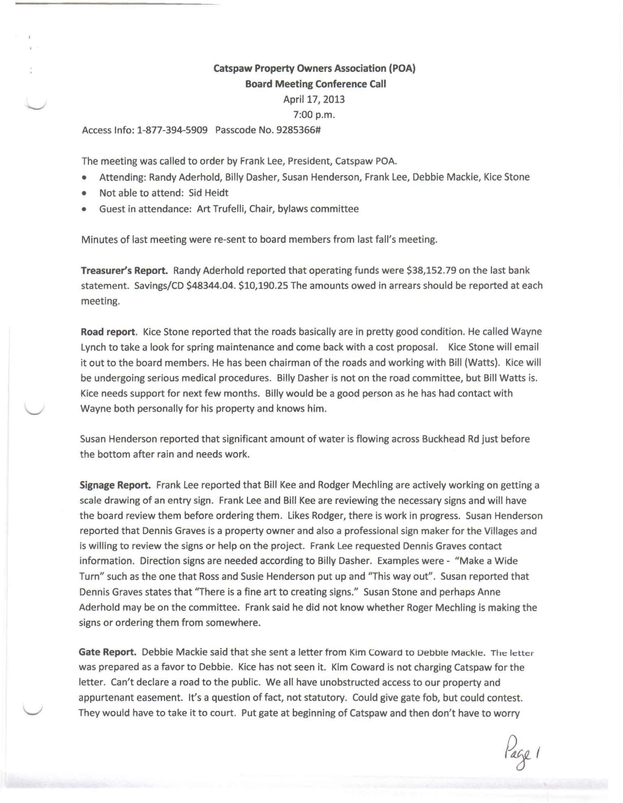## Catspaw Property Owners Association (POA) Board Meeting Conference Call

April 17, 2013

## 7:00 p.m.

Access Info: 1-877-394-5909 Passcode No. 9285366#

The meeting was called to order by Frank Lee, President, Catspaw POA.

- Attending: Randy Aderhold, Billy Dasher, Susan Henderson, Frank Lee, Debbie Mackie, Kice Stone
- Not able to attend: Sid Heidt
- Guest in attendance: Art Trufelli, Chair, bylaws committee

Minutes of last meeting were re-sent to board members from last fall's meeting.

Treasurer's Report. Randy Aderhold reported that operating funds were \$38,152.79 on the last bank statement. Savings/CD \$48344.04. \$10,190.25 The amounts owed in arrears should be reported at each meeting.

Road report. Kice Stone reported that the roads basically are in pretty good condition. He called Wayne Lynch to take a look for spring maintenance and come back with a cost proposal. Kice Stone will email it out to the board members. He has been chairman of the roads and working with Bill (Watts). Kice will be undergoing serious medical procedures. Billy Dasher is not on the road committee, but Bill Watts is. Kice needs support for next few months. Billy would be a good person as he has had contact with Wayne both personally for his property and knows him.

Susan Henderson reported that significant amount of water is flowing across Buckhead Rd just before the bottom after rain and needs work.

Signage Report. Frank Lee reported that Bill Kee and Rodger Mechling are actively working on getting a scale drawing of an entry sign. Frank Lee and Bill Kee are reviewing the necessary signs and will have the board review them before ordering them. Likes Rodger, there is work in progress. Susan Henderson reported that Dennis Graves is a property owner and also a professional sign maker for the Villages and is willing to review the signs or help on the project. Frank Lee requested Dennis Graves contact information. Direction signs are needed according to Billy Dasher. Examples were - "Make a Wide Turn" such as the one that Ross and Susie Henderson put up and "This way out". Susan reported that Dennis Graves states that "There is a fine art to creating signs." Susan Stone and perhaps Anne Aderhold may be on the committee. Frank said he did not know whether Roger Mechling is making the signs or ordering them from somewhere.

Gate Report. Debbie Mackie said that she sent a letter from Kim Coward to Debbie Mackie. The letter was prepared as a favor to Debbie. Kice has not seen it. Kim Coward is not charging Catspaw for the letter. Can't declare a road to the public. We all have unobstructed access to our property and appurtenant easement. It's a question of fact, not statutory. Could give gate fob, but could contest. They would have to take it to court. Put gate at beginning of Catspaw and then don't have to worry

lage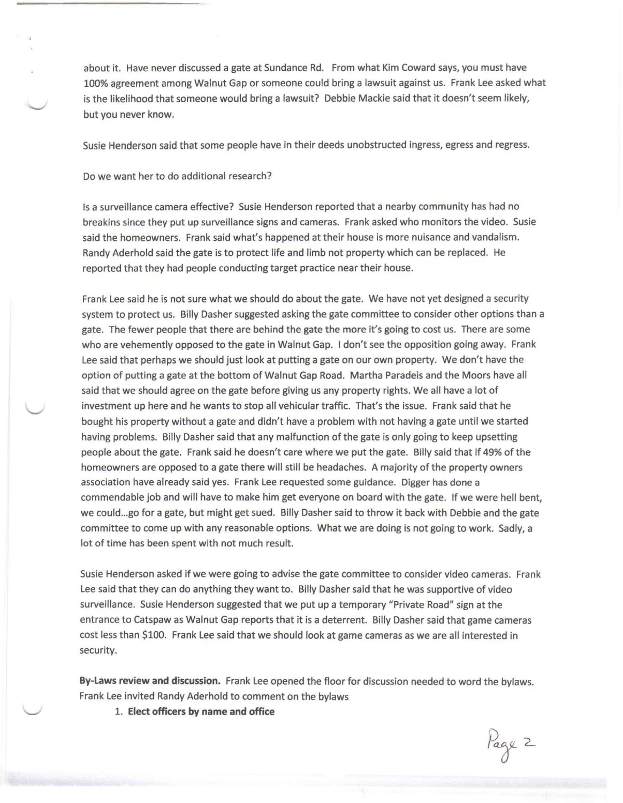about it. Have never discussed a gate at Sundance Rd. From what Kim Coward says, you must have 100% agreement among Walnut Gap or someone could bring a lawsuit against us. Frank Lee asked what is the likelihood that someone would bring a lawsuit? Debbie Mackie said that it doesn't seem likely, but you never know.

Susie Henderson said that some people have in their deeds unobstructed ingress, egress and regress.

Do we want her to do additional research?

Is a surveillance camera effective? Susie Henderson reported that a nearby community has had no breakins since they put up surveillance signs and cameras. Frank asked who monitors the video. Susie said the homeowners. Frank said what's happened at their house is more nuisance and vandalism. Randy Aderhold said the gate is to protect life and limb not property which can be replaced. He reported that they had people conducting target practice near their house.

Frank Lee said he is not sure what we should do about the gate. We have not yet designed a security system to protect us. Billy Dasher suggested asking the gate committee to consider other options than a gate. The fewer people that there are behind the gate the more it's going to cost us. There are some who are vehemently opposed to the gate in Walnut Gap. I don't see the opposition going away. Frank Lee said that perhaps we should just look at putting a gate on our own property. We don't have the option of putting a gate at the bottom of Walnut Gap Road. Martha Paradeis and the Moors have all said that we should agree on the gate before giving us any property rights. We all have a lot of investment up here and he wants to stop all vehicular traffic. That's the issue. Frank said that he bought his property without a gate and didn't have a problem with not having a gate until we started having problems. Billy Dasher said that any malfunction of the gate is only going to keep upsetting people about the gate. Frank said he doesn't care where we put the gate. Billy said that if 49% of the homeowners are opposed to a gate there will still be headaches. A majority of the property owners association have already said yes. Frank Lee requested some guidance. Digger has done a commendable job and will have to make him get everyone on board with the gate. If we were hell bent, we could ...go for a gate, but might get sued. Billy Dasher said to throw it back with Debbie and the gate committee to come up with any reasonable options. What we are doing is not going to work. Sadly, a lot of time has been spent with not much result.

Susie Henderson asked if we were going to advise the gate committee to consider video cameras. Frank Lee said that they can do anything they want to. Billy Dasher said that he was supportive of video surveillance. Susie Henderson suggested that we put up a temporary "Private Road" sign at the entrance to Catspaw as Walnut Gap reports that it is a deterrent. Billy Dasher said that game cameras cost less than \$100. Frank Lee said that we should look at game cameras as we are all interested in security.

**By-Laws review and discussion.** Frank Lee opened the floor for discussion needed to word the bylaws. Frank Lee invited Randy Aderhold to comment on the bylaws

1. **Elect officers by name and office**

Page 2